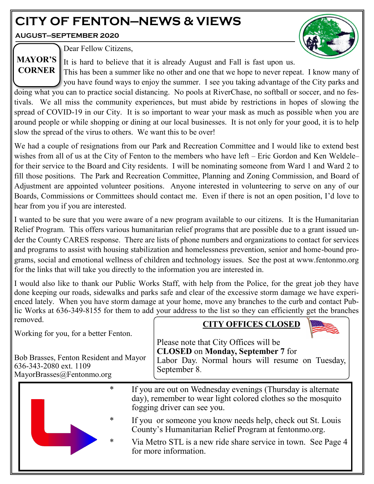# **CITY OF FENTON—NEWS & VIEWS**

**AUGUST—SEPTEMBER 2020**



Dear Fellow Citizens, **MAYOR'S** 

It is hard to believe that it is already August and Fall is fast upon us.

This has been a summer like no other and one that we hope to never repeat. I know many of you have found ways to enjoy the summer. I see you taking advantage of the City parks and doing what you can to practice social distancing. No pools at RiverChase, no softball or soccer, and no festivals. We all miss the community experiences, but must abide by restrictions in hopes of slowing the spread of COVID-19 in our City. It is so important to wear your mask as much as possible when you are around people or while shopping or dining at our local businesses. It is not only for your good, it is to help slow the spread of the virus to others. We want this to be over! **CORNER**

We had a couple of resignations from our Park and Recreation Committee and I would like to extend best wishes from all of us at the City of Fenton to the members who have left – Eric Gordon and Ken Weldele– for their service to the Board and City residents. I will be nominating someone from Ward 1 and Ward 2 to fill those positions. The Park and Recreation Committee, Planning and Zoning Commission, and Board of Adjustment are appointed volunteer positions. Anyone interested in volunteering to serve on any of our Boards, Commissions or Committees should contact me. Even if there is not an open position, I'd love to hear from you if you are interested.

I wanted to be sure that you were aware of a new program available to our citizens. It is the Humanitarian Relief Program. This offers various humanitarian relief programs that are possible due to a grant issued under the County CARES response. There are lists of phone numbers and organizations to contact for services and programs to assist with housing stabilization and homelessness prevention, senior and home-bound programs, social and emotional wellness of children and technology issues. See the post at www.fentonmo.org for the links that will take you directly to the information you are interested in.

I would also like to thank our Public Works Staff, with help from the Police, for the great job they have done keeping our roads, sidewalks and parks safe and clear of the excessive storm damage we have experienced lately. When you have storm damage at your home, move any branches to the curb and contact Public Works at 636-349-8155 for them to add your address to the list so they can efficiently get the branches removed. **CITY OFFICES CLOSED**

Working for you, for a better Fenton.

Bob Brasses, Fenton Resident and Mayor 636-343-2080 ext. 1109 MayorBrasses@Fentonmo.org

\* If you are out on Wednesday evenings (Thursday is alternate day), remember to wear light colored clothes so the mosquito fogging driver can see you. If you or someone you know needs help, check out St. Louis County's Humanitarian Relief Program at fentonmo.org. Via Metro STL is a new ride share service in town. See Page 4 for more information. Please note that City Offices will be **CLOSED** on **Monday, September 7** for Labor Day. Normal hours will resume on Tuesday, September 8.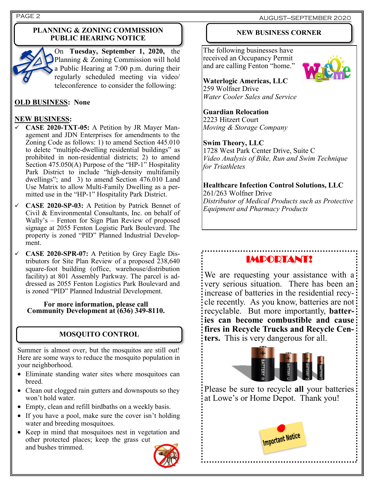## **PLANNING & ZONING COMMISSION PUBLIC HEARING NOTICE**



On **Tuesday, September 1, 2020,** the Planning & Zoning Commission will hold a Public Hearing at 7:00 p.m. during their regularly scheduled meeting via video/ teleconference to consider the following:

## **OLD BUSINESS: None**

## **NEW BUSINESS:**

- ✓ **CASE 2020-TXT-05:** A Petition by JR Mayer Management and JDN Enterprises for amendments to the Zoning Code as follows: 1) to amend Section 445.010 to delete "multiple-dwelling residential buildings" as prohibited in non-residential districts; 2) to amend Section 475.050(A) Purpose of the "HP-1" Hospitality Park District to include "high-density multifamily dwellings"; and 3) to amend Section 476.010 Land Use Matrix to allow Multi-Family Dwelling as a permitted use in the "HP-1" Hospitality Park District.
- ✓ **CASE 2020-SP-03:** A Petition by Patrick Bennet of Civil & Environmental Consultants, Inc. on behalf of Wally's – Fenton for Sign Plan Review of proposed signage at 2055 Fenton Logistic Park Boulevard. The property is zoned "PID" Planned Industrial Development.
- ✓ **CASE 2020-SPR-07:** A Petition by Grey Eagle Distributors for Site Plan Review of a proposed 238,640 square-foot building (office, warehouse/distribution facility) at 801 Assembly Parkway. The parcel is addressed as 2055 Fenton Logistics Park Boulevard and is zoned "PID" Planned Industrial Development.

#### **For more information, please call Community Development at (636) 349-8110.**

## **MOSQUITO CONTROL**

Summer is almost over, but the mosquitos are still out! Here are some ways to reduce the mosquito population in your neighborhood.

- Eliminate standing water sites where mosquitoes can breed.
- Clean out clogged rain gutters and downspouts so they won't hold water.
- Empty, clean and refill birdbaths on a weekly basis.
- If you have a pool, make sure the cover isn't holding water and breeding mosquitoes.
- Keep in mind that mosquitoes nest in vegetation and other protected places; keep the grass cut and bushes trimmed.



### **NEW BUSINESS CORNER**

The following businesses have received an Occupancy Permit and are calling Fenton "home."



**Waterlogic Americas, LLC** 259 Wolfner Drive *Water Cooler Sales and Service*

## **Guardian Relocation**

2223 Hitzert Court *Moving & Storage Company*

### **Swim Theory, LLC**

1728 West Park Center Drive, Suite C *Video Analysis of Bike, Run and Swim Technique for Triathletes*

### **Healthcare Infection Control Solutions, LLC**

261/263 Wolfner Drive *Distributor of Medical Products such as Protective Equipment and Pharmacy Products*

## IMPORTANT!

We are requesting your assistance with a very serious situation. There has been an increase of batteries in the residential recycle recently. As you know, batteries are not recyclable. But more importantly, **batteries can become combustible and cause fires in Recycle Trucks and Recycle Centers.** This is very dangerous for all.



Please be sure to recycle **all** your batteries at Lowe's or Home Depot. Thank you!

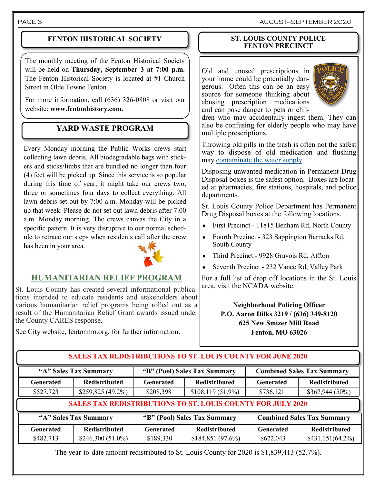## **FENTON HISTORICAL SOCIETY**

The monthly meeting of the Fenton Historical Society will be held on **Thursday, September 3 at 7:00 p.m.**  The Fenton Historical Society is located at #1 Church Street in Olde Towne Fenton.

For more information, call (636) 326-0808 or visit our website: **www.fentonhistory.com.**

## **YARD WASTE PROGRAM**

Every Monday morning the Public Works crews start collecting lawn debris. All biodegradable bags with stickers and sticks/limbs that are bundled no longer than four (4) feet will be picked up. Since this service is so popular during this time of year, it might take our crews two, three or sometimes four days to collect everything. All lawn debris set out by 7:00 a.m. Monday will be picked up that week. Please do not set out lawn debris after 7:00 a.m. Monday morning. The crews canvas the City in a specific pattern. It is very disruptive to our normal schedule to retrace our steps when residents call after the crew has been in your area.



## **HUMANITARIAN RELIEF PROGRAM**

St. Louis County has created several informational publications intended to educate residents and stakeholders about various humanitarian relief programs being rolled out as a result of the Humanitarian Relief Grant awards issued under the County CARES response.

See City website, fentonmo.org, for further information.

### **ST. LOUIS COUNTY POLICE FENTON PRECINCT**

Old and unused prescriptions in your home could be potentially dangerous. Often this can be an easy source for someone thinking about abusing prescription medications and can pose danger to pets or chil-



dren who may accidentally ingest them. They can also be confusing for elderly people who may have multiple prescriptions.

Throwing old pills in the trash is often not the safest way to dispose of old medication and flushing may [contaminate the water supply.](https://www.cdc.gov/healthywater/observances/pill_disposal.html)

Disposing unwanted medication in Permanent Drug Disposal boxes is the safest option. Boxes are located at pharmacies, fire stations, hospitals, and police departments.

St. Louis County Police Department has Permanent Drug Disposal boxes at the following locations.

- First Precinct 11815 Benham Rd, North County
- Fourth Precinct 323 Sappington Barracks Rd, South County
- Third Precinct 9928 Gravois Rd, Affton
- Seventh Precinct 232 Vance Rd, Valley Park

For a full list of drop off locations in the St. Louis area, visit the NCADA website.

> **Neighborhood Policing Officer P.O. Aaron Dilks 3219 / (636) 349-8120 625 New Smizer Mill Road Fenton, MO 63026**

# **"A" Sales Tax Summary "B" (Pool) Sales Tax Summary Combined Sales Tax Summary Generated Redistributed Generated Redistributed Generated Redistributed**  $$482,713$   $$246,300 (51.0%)$   $$189,330$   $$184,851 (97.6%)$   $$672,043$   $$431,151(64.2%)$ **SALES TAX REDISTRIBUTIONS TO ST. LOUIS COUNTY FOR JULY 2020 SALES TAX REDISTRIBUTIONS TO ST. LOUIS COUNTY FOR JUNE 2020 "A" Sales Tax Summary "B" (Pool) Sales Tax Summary Combined Sales Tax Summary Generated Redistributed Generated Redistributed Generated Redistributed**  $$527,723$   $$259,825 (49.2%)$   $$208,398$   $$108,119 (51.9%)$   $$3736,121$   $$367,944 (50%)$

The year-to-date amount redistributed to St. Louis County for 2020 is \$1,839,413 (52.7%).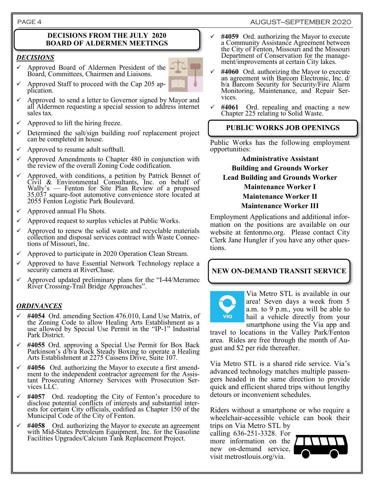#### **DECISIONS FROM THE JULY 2020 BOARD OF ALDERMEN MEETINGS**

#### *DECISIONS*

✓ Approved Board of Aldermen President of the Board, Committees, Chairmen and Liaisons.



- Approved to send a letter to Governor signed by Mayor and all Aldermen requesting a special session to address internet sales tax.
- Approved to lift the hiring freeze.
- $\checkmark$  Determined the salt/sign building roof replacement project can be completed in house.
- Approved to resume adult softball.
- $\checkmark$  Approved Amendments to Chapter 480 in conjunction with the review of the overall Zoning Code codification.
- Approved, with conditions, a petition by Patrick Bennet of Civil & Environmental Consultants, Inc. on behalf of Wally's — Fenton for Site Plan Review of a proposed 35,037 square-foot automotive convenience store located at 2055 Fenton Logistic Park Boulevard.
- $\checkmark$  Approved annual Flu Shots.
- Approved request to surplus vehicles at Public Works.
- Approved to renew the solid waste and recyclable materials collection and disposal services contract with Waste Connections of Missouri, Inc.
- Approved to participate in 2020 Operation Clean Stream.
- Approved to have Essential Network Technology replace a security camera at RiverChase.
- $\checkmark$  Approved updated preliminary plans for the "I-44/Meramec River Crossing-Trail Bridge Approaches".

#### *ORDINANCES*

- #4054 Ord. amending Section 476.010, Land Use Matrix, of the Zoning Code to allow Healing Arts Establishment as a use allowed by Special Use Permit in the "IP-1" Industrial Park District.
- ✓ **#4055** Ord. approving a Special Use Permit for Box Back Parkinson's d/b/a Rock Steady Boxing to operate a Healing Arts Establishment at 2275 Cassens Drive, Suite 107.
- #4056 Ord. authorizing the Mayor to execute a first amendment to the independent contractor agreement for the Assistant Prosecuting Attorney Services with Prosecution Services LLC.
- ✓ **#4057** Ord. readopting the City of Fenton's procedure to disclose potential conflicts of interests and substantial interests for certain City officials, codified as Chapter 150 of the Municipal Code of the City of Fenton.
- ✓ **#4058** Ord. authorizing the Mayor to execute an agreement with Mid-States Petroleum Equipment, Inc. for the Gasoline Facilities Upgrades/Calcium Tank Replacement Project.
- ✓ **#4059** Ord. authorizing the Mayor to execute a Community Assistance Agreement between the City of Fenton, Missouri and the Missouri Department of Conservation for the management/improvements at certain City lakes.
- ✓ **#4060** Ord. authorizing the Mayor to execute an agreement with Barcom Electronic, Inc. d/ b/a Barcom Security for Security/Fire Alarm Monitoring, Maintenance, and Repair Services.
- ✓ **#4061** Ord. repealing and enacting a new Chapter 225 relating to Solid Waste.

### **PUBLIC WORKS JOB OPENINGS**

Public Works has the following employment opportunities:

> **Administrative Assistant Building and Grounds Worker Lead Building and Grounds Worker Maintenance Worker I Maintenance Worker II Maintenance Worker III**

Employment Applications and additional information on the positions are available on our website at fentonmo.org. Please contact City Clerk Jane Hungler if you have any other questions.

**NEW ON-DEMAND TRANSIT SERVICE**



Via Metro STL is available in our area! Seven days a week from 5 a.m. to 9 p.m., you will be able to hail a vehicle directly from your smartphone using the Via app and

travel to locations in the Valley Park/Fenton area. Rides are free through the month of August and \$2 per ride thereafter.

Via Metro STL is a shared ride service. Via's advanced technology matches multiple passengers headed in the same direction to provide quick and efficient shared trips without lengthy detours or inconvenient schedules.

Riders without a smartphone or who require a wheelchair-accessible vehicle can book their trips on Via Metro STL by

calling 636-251-3328. For more information on the new on-demand service, visit metrostlouis.org/via.

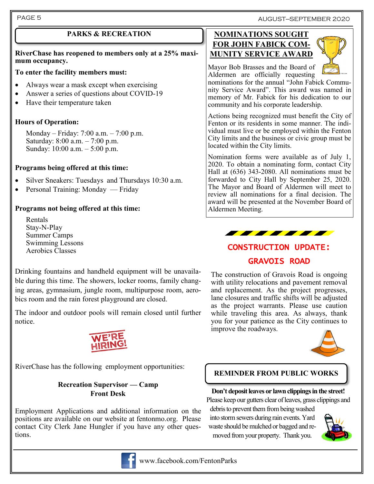PAGE 5 AUGUST—SEPTEMBER 2020

**RiverChase has reopened to members only at a 25% maximum occupancy.**

## **To enter the facility members must:**

- Always wear a mask except when exercising
- Answer a series of questions about COVID-19
- Have their temperature taken

## **Hours of Operation:**

Monday – Friday: 7:00 a.m. – 7:00 p.m. Saturday: 8:00 a.m. – 7:00 p.m. Sunday: 10:00 a.m. – 5:00 p.m.

## **Programs being offered at this time:**

- Silver Sneakers: Tuesdays and Thursdays 10:30 a.m.
- Personal Training: Monday Friday

## **Programs not being offered at this time:**

Rentals Stay-N-Play Summer Camps Swimming Lessons Aerobics Classes

Drinking fountains and handheld equipment will be unavailable during this time. The showers, locker rooms, family changing areas, gymnasium, jungle room, multipurpose room, aerobics room and the rain forest playground are closed.

The indoor and outdoor pools will remain closed until further notice.



RiverChase has the following employment opportunities:

## **Recreation Supervisor — Camp Front Desk**

Employment Applications and additional information on the positions are available on our website at fentonmo.org. Please contact City Clerk Jane Hungler if you have any other questions.



## www.facebook.com/FentonParks

## **PARKS & RECREATION NOMINATIONS SOUGHT FOR JOHN FABICK COM-MUNITY SERVICE AWARD**



Mayor Bob Brasses and the Board of Aldermen are officially requesting

nominations for the annual "John Fabick Community Service Award". This award was named in memory of Mr. Fabick for his dedication to our community and his corporate leadership.

Actions being recognized must benefit the City of Fenton or its residents in some manner. The individual must live or be employed within the Fenton City limits and the business or civic group must be located within the City limits.

Nomination forms were available as of July 1, 2020. To obtain a nominating form, contact City Hall at (636) 343-2080. All nominations must be forwarded to City Hall by September 25, 2020. The Mayor and Board of Aldermen will meet to review all nominations for a final decision. The award will be presented at the November Board of Aldermen Meeting.



# CONSTRUCTION UPDATE: GRAVOIS ROAD

The construction of Gravois Road is ongoing with utility relocations and pavement removal and replacement. As the project progresses, lane closures and traffic shifts will be adjusted as the project warrants. Please use caution while traveling this area. As always, thank you for your patience as the City continues to improve the roadways.



## **REMINDER FROM PUBLIC WORKS**

## **Don't deposit leaves or lawn clippings in the street!**

Please keep our gutters clear of leaves, grass clippings and

debris to prevent them from being washed into storm sewers during rain events. Yard waste should be mulched or bagged and removed from your property. Thank you.